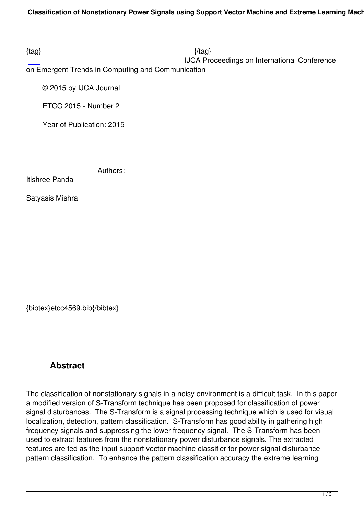$\{tag\}$ 

IJCA Proceedings on International Conference

on Emergent Trends in Computing and Communication

© 2015 by IJCA Journal

ETCC 2015 - Number 2

Year of Publication: 2015

Authors:

Itishree Panda

Satyasis Mishra

{bibtex}etcc4569.bib{/bibtex}

## **Abstract**

The classification of nonstationary signals in a noisy environment is a difficult task. In this paper a modified version of S-Transform technique has been proposed for classification of power signal disturbances. The S-Transform is a signal processing technique which is used for visual localization, detection, pattern classification. S-Transform has good ability in gathering high frequency signals and suppressing the lower frequency signal. The S-Transform has been used to extract features from the nonstationary power disturbance signals. The extracted features are fed as the input support vector machine classifier for power signal disturbance pattern classification. To enhance the pattern classification accuracy the extreme learning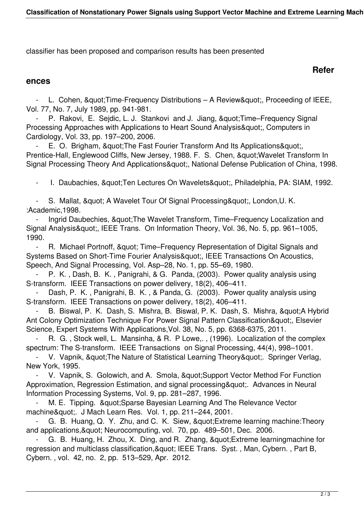classifier has been proposed and comparison results has been presented

## **Refer**

## **ences**

L. Cohen, & quot; Time-Frequency Distributions – A Review & quot;, Proceeding of IEEE, Vol. 77, No. 7, July 1989, pp. 941-981.

- P. Rakovi, E. Sejdic, L. J. Stankovi and J. Jiang, " Time–Frequency Signal Processing Approaches with Applications to Heart Sound Analysis", Computers in Cardiology, Vol. 33, pp. 197–200, 2006.

E. O. Brigham, & quot; The Fast Fourier Transform And Its Applications & quot; Prentice-Hall, Englewood Cliffs, New Jersey, 1988. F. S. Chen, " Wavelet Transform In Signal Processing Theory And Applications", National Defense Publication of China, 1998.

- I. Daubachies, & quot; Ten Lectures On Wavelets & quot;, Philadelphia, PA: SIAM, 1992.

- S. Mallat, & quot; A Wavelet Tour Of Signal Processing & quot;, London, U. K. :Academic,1998.

Ingrid Daubechies, & quot; The Wavelet Transform, Time–Frequency Localization and Signal Analysis", IEEE Trans. On Information Theory, Vol. 36, No. 5, pp. 961–1005, 1990.

R. Michael Portnoff, & quot; Time–Frequency Representation of Digital Signals and Systems Based on Short-Time Fourier Analysis", IEEE Transactions On Acoustics, Speech, And Signal Processing, Vol. Asp–28, No. 1, pp. 55–69, 1980.

P. K., Dash, B. K., Panigrahi, & G. Panda, (2003). Power quality analysis using S-transform. IEEE Transactions on power delivery, 18(2), 406–411.

Dash, P. K., Panigrahi, B. K., & Panda, G. (2003). Power quality analysis using S-transform. IEEE Transactions on power delivery, 18(2), 406–411.

B. Biswal, P. K. Dash, S. Mishra, B. Biswal, P. K. Dash, S. Mishra, & quot; A Hybrid Ant Colony Optimization Technique For Power Signal Pattern Classification", Elsevier Science, Expert Systems With Applications,Vol. 38, No. 5, pp. 6368-6375, 2011.

R. G., Stock well, L. Mansinha, & R. P Lowe.., (1996). Localization of the complex spectrum: The S-transform. IEEE Transactions on Signal Processing, 44(4), 998–1001.

V. Vapnik, " The Nature of Statistical Learning Theory ". Springer Verlag, New York, 1995.

V. Vapnik, S. Golowich, and A. Smola, &quot: Support Vector Method For Function Approximation, Regression Estimation, and signal processing & quot: Advances in Neural Information Processing Systems, Vol. 9, pp. 281–287, 1996.

M. E. Tipping. & quot; Sparse Bayesian Learning And The Relevance Vector machine". J Mach Learn Res. Vol. 1, pp. 211–244, 2001.

G. B. Huang, Q. Y. Zhu, and C. K. Siew, " Extreme learning machine: Theory and applications, & quot; Neurocomputing, vol. 70, pp. 489–501, Dec. 2006.

G. B. Huang, H. Zhou, X. Ding, and R. Zhang, & quot: Extreme learningmachine for regression and multiclass classification, & quot; IEEE Trans. Syst., Man, Cybern., Part B, Cybern. , vol. 42, no. 2, pp. 513–529, Apr. 2012.